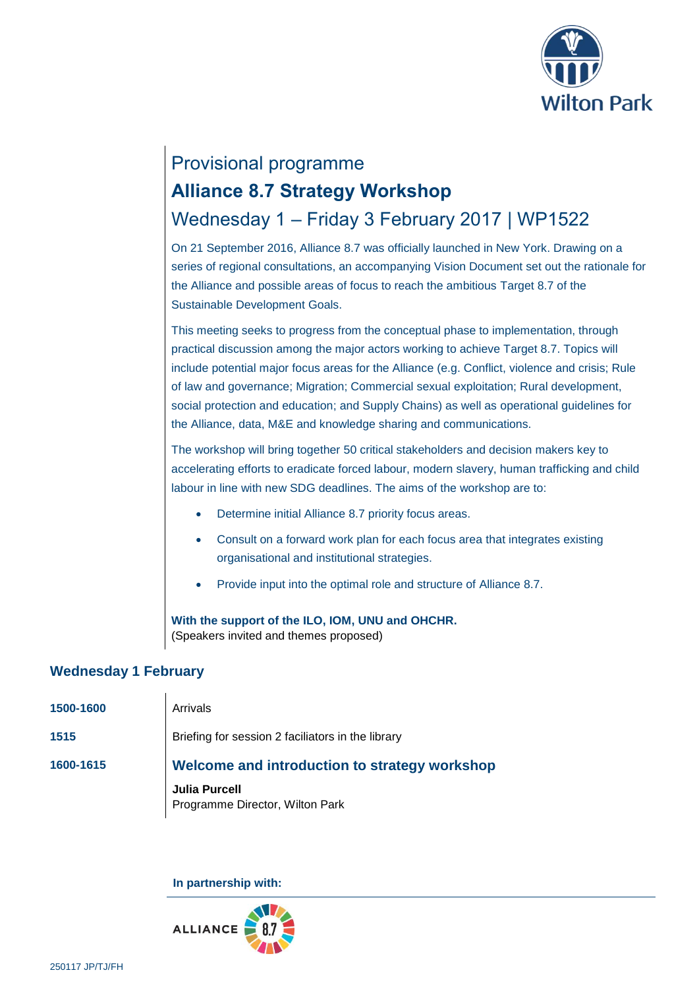

# Provisional programme **Alliance 8.7 Strategy Workshop** Wednesday 1 – Friday 3 February 2017 | WP1522

On 21 September 2016, Alliance 8.7 was officially launched in New York. Drawing on a series of regional consultations, an accompanying Vision Document set out the rationale for the Alliance and possible areas of focus to reach the ambitious Target 8.7 of the Sustainable Development Goals.

This meeting seeks to progress from the conceptual phase to implementation, through practical discussion among the major actors working to achieve Target 8.7. Topics will include potential major focus areas for the Alliance (e.g. Conflict, violence and crisis; Rule of law and governance; Migration; Commercial sexual exploitation; Rural development, social protection and education; and Supply Chains) as well as operational guidelines for the Alliance, data, M&E and knowledge sharing and communications.

The workshop will bring together 50 critical stakeholders and decision makers key to accelerating efforts to eradicate forced labour, modern slavery, human trafficking and child labour in line with new SDG deadlines. The aims of the workshop are to:

- Determine initial Alliance 8.7 priority focus areas.
- Consult on a forward work plan for each focus area that integrates existing organisational and institutional strategies.
- Provide input into the optimal role and structure of Alliance 8.7.

**With the support of the ILO, IOM, UNU and OHCHR.** (Speakers invited and themes proposed)

### **Wednesday 1 February**

| 1500-1600 | Arrivals                                                |
|-----------|---------------------------------------------------------|
| 1515      | Briefing for session 2 faciliators in the library       |
| 1600-1615 | Welcome and introduction to strategy workshop           |
|           | <b>Julia Purcell</b><br>Programme Director, Wilton Park |

**In partnership with:**

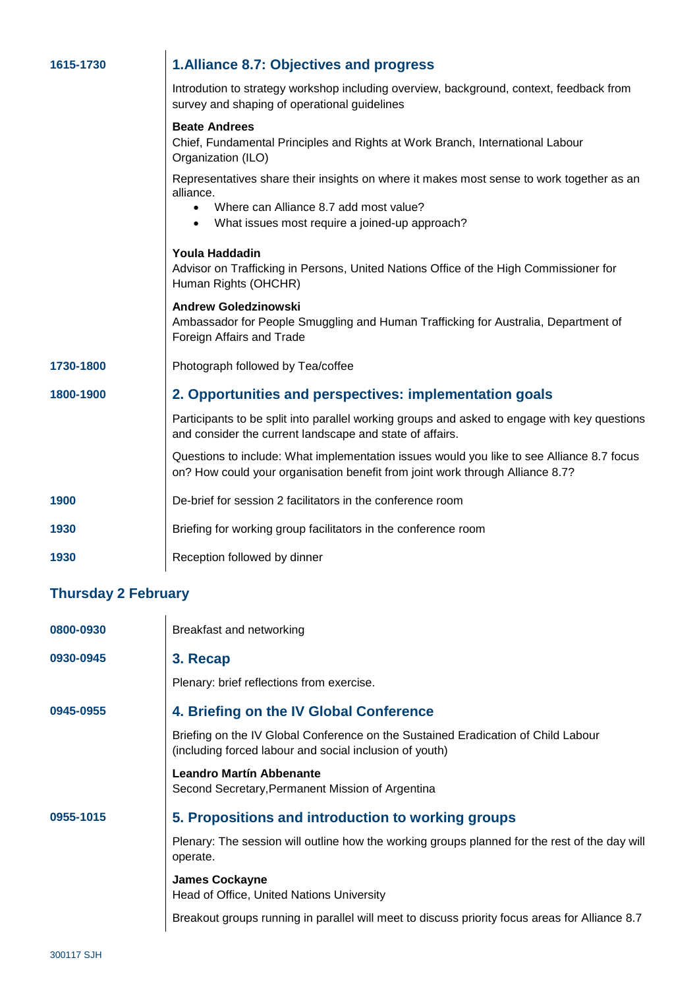| 1615-1730                  | 1. Alliance 8.7: Objectives and progress                                                                                                                                                                                    |
|----------------------------|-----------------------------------------------------------------------------------------------------------------------------------------------------------------------------------------------------------------------------|
|                            | Introdution to strategy workshop including overview, background, context, feedback from<br>survey and shaping of operational guidelines                                                                                     |
|                            | <b>Beate Andrees</b><br>Chief, Fundamental Principles and Rights at Work Branch, International Labour<br>Organization (ILO)                                                                                                 |
|                            | Representatives share their insights on where it makes most sense to work together as an<br>alliance.<br>Where can Alliance 8.7 add most value?<br>$\bullet$<br>What issues most require a joined-up approach?<br>$\bullet$ |
|                            | Youla Haddadin<br>Advisor on Trafficking in Persons, United Nations Office of the High Commissioner for<br>Human Rights (OHCHR)                                                                                             |
|                            | <b>Andrew Goledzinowski</b><br>Ambassador for People Smuggling and Human Trafficking for Australia, Department of<br>Foreign Affairs and Trade                                                                              |
| 1730-1800                  | Photograph followed by Tea/coffee                                                                                                                                                                                           |
| 1800-1900                  | 2. Opportunities and perspectives: implementation goals                                                                                                                                                                     |
|                            | Participants to be split into parallel working groups and asked to engage with key questions<br>and consider the current landscape and state of affairs.                                                                    |
|                            | Questions to include: What implementation issues would you like to see Alliance 8.7 focus<br>on? How could your organisation benefit from joint work through Alliance 8.7?                                                  |
| 1900                       | De-brief for session 2 facilitators in the conference room                                                                                                                                                                  |
| 1930                       | Briefing for working group facilitators in the conference room                                                                                                                                                              |
| 1930                       | Reception followed by dinner                                                                                                                                                                                                |
| <b>Thursday 2 February</b> |                                                                                                                                                                                                                             |
| <b>NSDN-U83U</b>           | <b>Rreakfast and networking</b>                                                                                                                                                                                             |

| 0800-0930 | Breakfast and networking                                                                                                                     |
|-----------|----------------------------------------------------------------------------------------------------------------------------------------------|
| 0930-0945 | 3. Recap                                                                                                                                     |
|           | Plenary: brief reflections from exercise.                                                                                                    |
| 0945-0955 | 4. Briefing on the IV Global Conference                                                                                                      |
|           | Briefing on the IV Global Conference on the Sustained Eradication of Child Labour<br>(including forced labour and social inclusion of youth) |
|           | <b>Leandro Martín Abbenante</b><br>Second Secretary, Permanent Mission of Argentina                                                          |
| 0955-1015 | 5. Propositions and introduction to working groups                                                                                           |
|           | Plenary: The session will outline how the working groups planned for the rest of the day will<br>operate.                                    |
|           | <b>James Cockayne</b><br>Head of Office, United Nations University                                                                           |
|           | Breakout groups running in parallel will meet to discuss priority focus areas for Alliance 8.7                                               |
|           |                                                                                                                                              |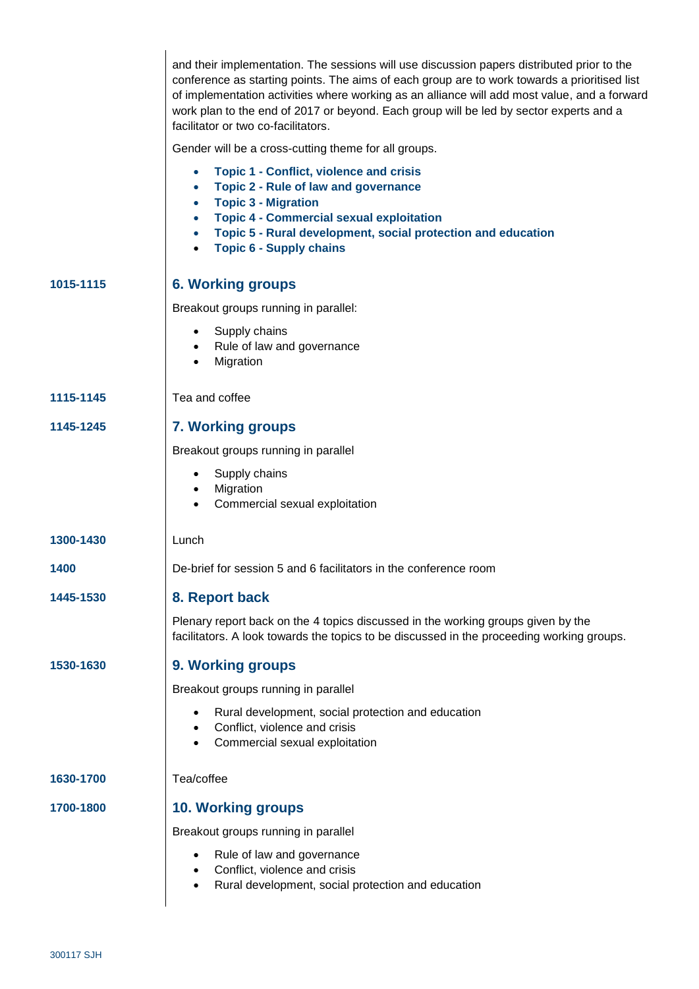|           | and their implementation. The sessions will use discussion papers distributed prior to the<br>conference as starting points. The aims of each group are to work towards a prioritised list<br>of implementation activities where working as an alliance will add most value, and a forward<br>work plan to the end of 2017 or beyond. Each group will be led by sector experts and a<br>facilitator or two co-facilitators. |
|-----------|-----------------------------------------------------------------------------------------------------------------------------------------------------------------------------------------------------------------------------------------------------------------------------------------------------------------------------------------------------------------------------------------------------------------------------|
|           | Gender will be a cross-cutting theme for all groups.                                                                                                                                                                                                                                                                                                                                                                        |
|           | <b>Topic 1 - Conflict, violence and crisis</b><br>$\bullet$<br><b>Topic 2 - Rule of law and governance</b><br>$\bullet$<br><b>Topic 3 - Migration</b><br>$\bullet$<br><b>Topic 4 - Commercial sexual exploitation</b><br>$\bullet$<br>Topic 5 - Rural development, social protection and education<br>$\bullet$<br><b>Topic 6 - Supply chains</b>                                                                           |
| 1015-1115 | <b>6. Working groups</b>                                                                                                                                                                                                                                                                                                                                                                                                    |
|           | Breakout groups running in parallel:                                                                                                                                                                                                                                                                                                                                                                                        |
|           | Supply chains<br>$\bullet$<br>Rule of law and governance<br>$\bullet$<br>Migration<br>$\bullet$                                                                                                                                                                                                                                                                                                                             |
| 1115-1145 | Tea and coffee                                                                                                                                                                                                                                                                                                                                                                                                              |
| 1145-1245 | <b>7. Working groups</b>                                                                                                                                                                                                                                                                                                                                                                                                    |
|           | Breakout groups running in parallel                                                                                                                                                                                                                                                                                                                                                                                         |
|           | Supply chains<br>Migration<br>$\bullet$<br>Commercial sexual exploitation<br>$\bullet$                                                                                                                                                                                                                                                                                                                                      |
| 1300-1430 | Lunch                                                                                                                                                                                                                                                                                                                                                                                                                       |
| 1400      | De-brief for session 5 and 6 facilitators in the conference room                                                                                                                                                                                                                                                                                                                                                            |
| 1445-1530 | 8. Report back                                                                                                                                                                                                                                                                                                                                                                                                              |
|           | Plenary report back on the 4 topics discussed in the working groups given by the<br>facilitators. A look towards the topics to be discussed in the proceeding working groups.                                                                                                                                                                                                                                               |
| 1530-1630 | 9. Working groups                                                                                                                                                                                                                                                                                                                                                                                                           |
|           | Breakout groups running in parallel                                                                                                                                                                                                                                                                                                                                                                                         |
|           | Rural development, social protection and education<br>Conflict, violence and crisis<br>Commercial sexual exploitation                                                                                                                                                                                                                                                                                                       |
| 1630-1700 | Tea/coffee                                                                                                                                                                                                                                                                                                                                                                                                                  |
| 1700-1800 | <b>10. Working groups</b>                                                                                                                                                                                                                                                                                                                                                                                                   |
|           | Breakout groups running in parallel                                                                                                                                                                                                                                                                                                                                                                                         |
|           | Rule of law and governance<br>Conflict, violence and crisis<br>Rural development, social protection and education                                                                                                                                                                                                                                                                                                           |
|           |                                                                                                                                                                                                                                                                                                                                                                                                                             |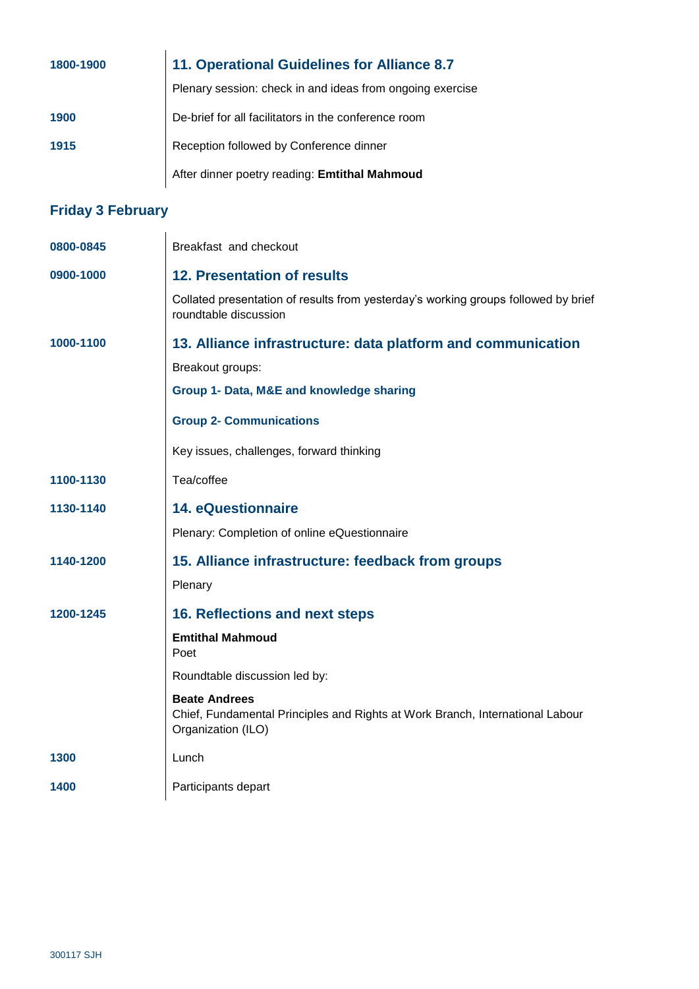| 1800-1900 | 11. Operational Guidelines for Alliance 8.7               |
|-----------|-----------------------------------------------------------|
|           | Plenary session: check in and ideas from ongoing exercise |
| 1900      | De-brief for all facilitators in the conference room      |
| 1915      | Reception followed by Conference dinner                   |
|           | After dinner poetry reading: Emtithal Mahmoud             |

## **Friday 3 February**

| 0800-0845 | Breakfast and checkout                                                                                                      |
|-----------|-----------------------------------------------------------------------------------------------------------------------------|
| 0900-1000 | <b>12. Presentation of results</b>                                                                                          |
|           | Collated presentation of results from yesterday's working groups followed by brief<br>roundtable discussion                 |
| 1000-1100 | 13. Alliance infrastructure: data platform and communication                                                                |
|           | Breakout groups:                                                                                                            |
|           | Group 1- Data, M&E and knowledge sharing                                                                                    |
|           | <b>Group 2- Communications</b>                                                                                              |
|           | Key issues, challenges, forward thinking                                                                                    |
| 1100-1130 | Tea/coffee                                                                                                                  |
| 1130-1140 | <b>14. eQuestionnaire</b>                                                                                                   |
|           | Plenary: Completion of online eQuestionnaire                                                                                |
| 1140-1200 | 15. Alliance infrastructure: feedback from groups                                                                           |
|           | Plenary                                                                                                                     |
| 1200-1245 | 16. Reflections and next steps                                                                                              |
|           | <b>Emtithal Mahmoud</b><br>Poet                                                                                             |
|           | Roundtable discussion led by:                                                                                               |
|           | <b>Beate Andrees</b><br>Chief, Fundamental Principles and Rights at Work Branch, International Labour<br>Organization (ILO) |
| 1300      | Lunch                                                                                                                       |
| 1400      | Participants depart                                                                                                         |